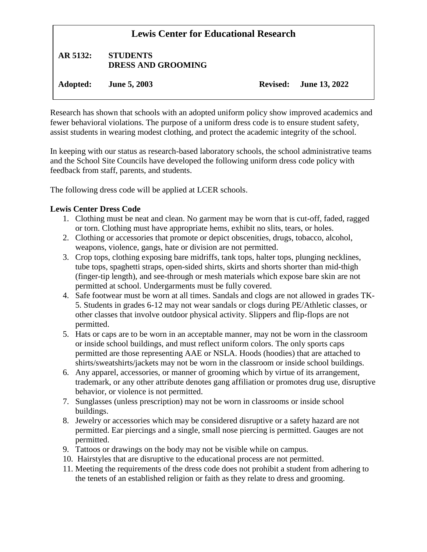# **Lewis Center for Educational Research AR 5132: STUDENTS DRESS AND GROOMING Adopted: June 5, 2003 Revised: June 13, 2022**

Research has shown that schools with an adopted uniform policy show improved academics and fewer behavioral violations. The purpose of a uniform dress code is to ensure student safety, assist students in wearing modest clothing, and protect the academic integrity of the school.

In keeping with our status as research-based laboratory schools, the school administrative teams and the School Site Councils have developed the following uniform dress code policy with feedback from staff, parents, and students.

The following dress code will be applied at LCER schools.

#### **Lewis Center Dress Code**

- 1. Clothing must be neat and clean. No garment may be worn that is cut-off, faded, ragged or torn. Clothing must have appropriate hems, exhibit no slits, tears, or holes.
- 2. Clothing or accessories that promote or depict obscenities, drugs, tobacco, alcohol, weapons, violence, gangs, hate or division are not permitted.
- 3. Crop tops, clothing exposing bare midriffs, tank tops, halter tops, plunging necklines, tube tops, spaghetti straps, open-sided shirts, skirts and shorts shorter than mid-thigh (finger-tip length), and see-through or mesh materials which expose bare skin are not permitted at school. Undergarments must be fully covered.
- 4. Safe footwear must be worn at all times. Sandals and clogs are not allowed in grades TK-5. Students in grades 6-12 may not wear sandals or clogs during PE/Athletic classes, or other classes that involve outdoor physical activity. Slippers and flip-flops are not permitted.
- 5. Hats or caps are to be worn in an acceptable manner, may not be worn in the classroom or inside school buildings, and must reflect uniform colors. The only sports caps permitted are those representing AAE or NSLA. Hoods (hoodies) that are attached to shirts/sweatshirts/jackets may not be worn in the classroom or inside school buildings.
- 6. Any apparel, accessories, or manner of grooming which by virtue of its arrangement, trademark, or any other attribute denotes gang affiliation or promotes drug use, disruptive behavior, or violence is not permitted.
- 7. Sunglasses (unless prescription) may not be worn in classrooms or inside school buildings.
- 8. Jewelry or accessories which may be considered disruptive or a safety hazard are not permitted. Ear piercings and a single, small nose piercing is permitted. Gauges are not permitted.
- 9. Tattoos or drawings on the body may not be visible while on campus.
- 10. Hairstyles that are disruptive to the educational process are not permitted.
- 11. Meeting the requirements of the dress code does not prohibit a student from adhering to the tenets of an established religion or faith as they relate to dress and grooming.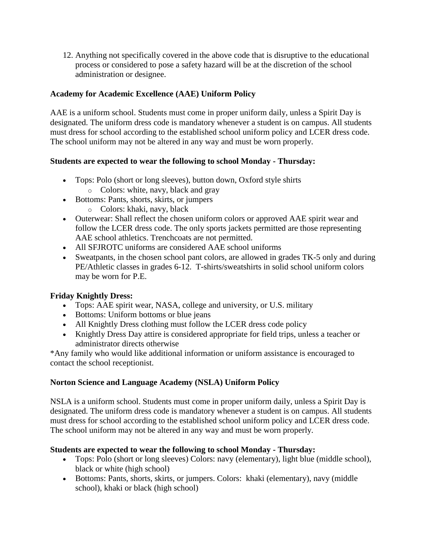12. Anything not specifically covered in the above code that is disruptive to the educational process or considered to pose a safety hazard will be at the discretion of the school administration or designee.

## **Academy for Academic Excellence (AAE) Uniform Policy**

AAE is a uniform school. Students must come in proper uniform daily, unless a Spirit Day is designated. The uniform dress code is mandatory whenever a student is on campus. All students must dress for school according to the established school uniform policy and LCER dress code. The school uniform may not be altered in any way and must be worn properly.

## **Students are expected to wear the following to school Monday - Thursday:**

- Tops: Polo (short or long sleeves), button down, Oxford style shirts o Colors: white, navy, black and gray
- Bottoms: Pants, shorts, skirts, or jumpers
	- o Colors: khaki, navy, black
- Outerwear: Shall reflect the chosen uniform colors or approved AAE spirit wear and follow the LCER dress code. The only sports jackets permitted are those representing AAE school athletics. Trenchcoats are not permitted.
- All SFJROTC uniforms are considered AAE school uniforms
- Sweatpants, in the chosen school pant colors, are allowed in grades TK-5 only and during PE/Athletic classes in grades 6-12. T-shirts/sweatshirts in solid school uniform colors may be worn for P.E.

# **Friday Knightly Dress:**

- Tops: AAE spirit wear, NASA, college and university, or U.S. military
- Bottoms: Uniform bottoms or blue jeans
- All Knightly Dress clothing must follow the LCER dress code policy
- Knightly Dress Day attire is considered appropriate for field trips, unless a teacher or administrator directs otherwise

\*Any family who would like additional information or uniform assistance is encouraged to contact the school receptionist.

## **Norton Science and Language Academy (NSLA) Uniform Policy**

NSLA is a uniform school. Students must come in proper uniform daily, unless a Spirit Day is designated. The uniform dress code is mandatory whenever a student is on campus. All students must dress for school according to the established school uniform policy and LCER dress code. The school uniform may not be altered in any way and must be worn properly.

## **Students are expected to wear the following to school Monday - Thursday:**

- Tops: Polo (short or long sleeves) Colors: navy (elementary), light blue (middle school), black or white (high school)
- Bottoms: Pants, shorts, skirts, or jumpers. Colors: khaki (elementary), navy (middle school), khaki or black (high school)